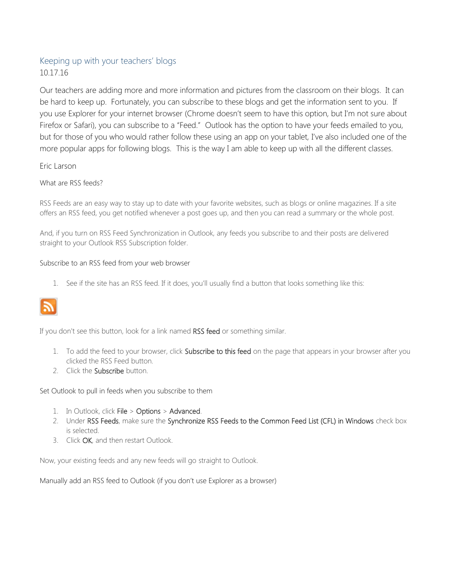## Keeping up with your teachers' blogs 10.17.16

Our teachers are adding more and more information and pictures from the classroom on their blogs. It can be hard to keep up. Fortunately, you can subscribe to these blogs and get the information sent to you. If you use Explorer for your internet browser (Chrome doesn't seem to have this option, but I'm not sure about Firefox or Safari), you can subscribe to a "Feed." Outlook has the option to have your feeds emailed to you, but for those of you who would rather follow these using an app on your tablet, I've also included one of the more popular apps for following blogs. This is the way I am able to keep up with all the different classes.

### Eric Larson

What are RSS feeds?

RSS Feeds are an easy way to stay up to date with your favorite websites, such as blogs or online magazines. If a site offers an RSS feed, you get notified whenever a post goes up, and then you can read a summary or the whole post.

And, if you turn on RSS Feed Synchronization in Outlook, any feeds you subscribe to and their posts are delivered straight to your Outlook RSS Subscription folder.

#### Subscribe to an RSS feed from your web browser

1. See if the site has an RSS feed. If it does, you'll usually find a button that looks something like this:



If you don't see this button, look for a link named RSS feed or something similar.

- 1. To add the feed to your browser, click Subscribe to this feed on the page that appears in your browser after you clicked the RSS Feed button.
- 2. Click the **Subscribe** button.

Set Outlook to pull in feeds when you subscribe to them

- 1. In Outlook, click File > Options > Advanced.
- 2. Under RSS Feeds, make sure the Synchronize RSS Feeds to the Common Feed List (CFL) in Windows check box is selected.
- 3. Click OK, and then restart Outlook.

Now, your existing feeds and any new feeds will go straight to Outlook.

Manually add an RSS feed to Outlook (if you don't use Explorer as a browser)